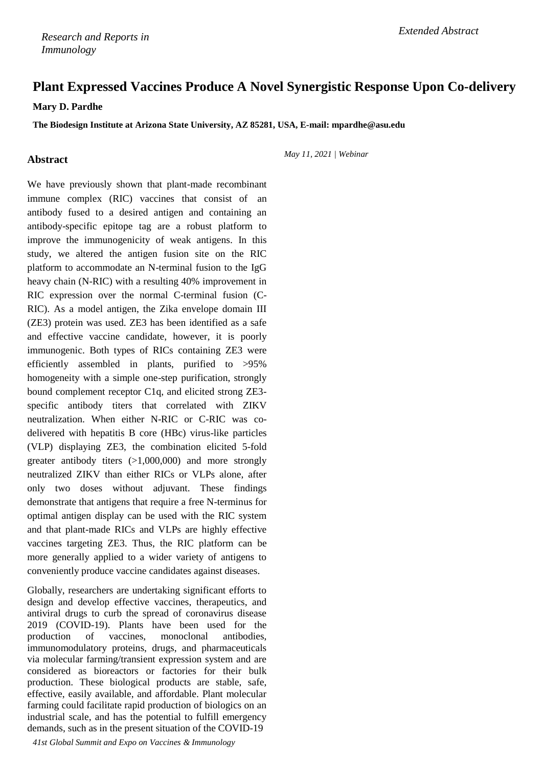## **Plant Expressed Vaccines Produce A Novel Synergistic Response Upon Co-delivery**

**Mary D. Pardhe**

**The Biodesign Institute at Arizona State University, AZ 85281, USA, E-mail: [mpardhe@asu.edu](mailto:mpardhe@asu.edu)**

## **Abstract**

We have previously shown that plant-made recombinant immune complex (RIC) vaccines that consist of an antibody fused to a desired antigen and containing an antibody-specific epitope tag are a robust platform to improve the immunogenicity of weak antigens. In this study, we altered the antigen fusion site on the RIC platform to accommodate an N-terminal fusion to the IgG heavy chain (N-RIC) with a resulting 40% improvement in RIC expression over the normal C-terminal fusion (C-RIC). As a model antigen, the Zika envelope domain III (ZE3) protein was used. ZE3 has been identified as a safe and effective vaccine candidate, however, it is poorly immunogenic. Both types of RICs containing ZE3 were efficiently assembled in plants, purified to >95% homogeneity with a simple one-step purification, strongly bound complement receptor C1q, and elicited strong ZE3 specific antibody titers that correlated with ZIKV neutralization. When either N-RIC or C-RIC was codelivered with hepatitis B core (HBc) virus-like particles (VLP) displaying ZE3, the combination elicited 5-fold greater antibody titers  $(>1,000,000)$  and more strongly neutralized ZIKV than either RICs or VLPs alone, after only two doses without adjuvant. These findings demonstrate that antigens that require a free N-terminus for optimal antigen display can be used with the RIC system and that plant-made RICs and VLPs are highly effective vaccines targeting ZE3. Thus, the RIC platform can be more generally applied to a wider variety of antigens to conveniently produce vaccine candidates against diseases.

Globally, researchers are undertaking significant efforts to design and develop effective vaccines, therapeutics, and antiviral drugs to curb the spread of coronavirus disease 2019 (COVID-19). Plants have been used for the production of vaccines, monoclonal antibodies, immunomodulatory proteins, drugs, and pharmaceuticals via molecular farming/transient expression system and are considered as bioreactors or factories for their bulk production. These biological products are stable, safe, effective, easily available, and affordable. Plant molecular farming could facilitate rapid production of biologics on an industrial scale, and has the potential to fulfill emergency demands, such as in the present situation of the COVID-19

*41st Global Summit and Expo on Vaccines & Immunology*

*May 11, 2021 | Webinar*